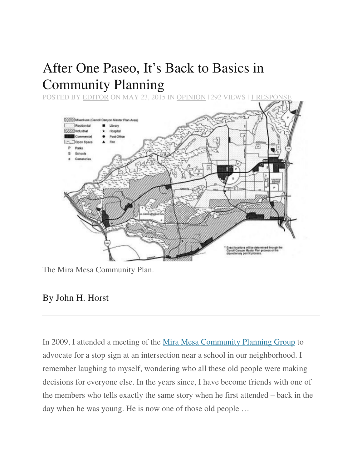# After One Paseo, It's Back to Basics in Community Planning

POSTED BY EDITOR ON MAY 23, 2015 IN OPINION | 292 VIEWS | 1 RESPONSE



The Mira Mesa Community Plan.

## By John H. Horst

In 2009, I attended a meeting of the Mira Mesa Community Planning Group to advocate for a stop sign at an intersection near a school in our neighborhood. I remember laughing to myself, wondering who all these old people were making decisions for everyone else. In the years since, I have become friends with one of the members who tells exactly the same story when he first attended – back in the day when he was young. He is now one of those old people …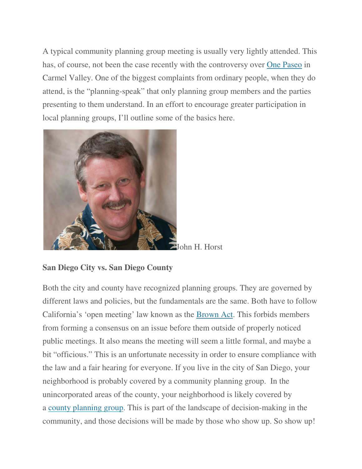A typical community planning group meeting is usually very lightly attended. This has, of course, not been the case recently with the controversy over One Paseo in Carmel Valley. One of the biggest complaints from ordinary people, when they do attend, is the "planning-speak" that only planning group members and the parties presenting to them understand. In an effort to encourage greater participation in local planning groups, I'll outline some of the basics here.



John H. Horst

#### **San Diego City vs. San Diego County**

Both the city and county have recognized planning groups. They are governed by different laws and policies, but the fundamentals are the same. Both have to follow California's 'open meeting' law known as the Brown Act. This forbids members from forming a consensus on an issue before them outside of properly noticed public meetings. It also means the meeting will seem a little formal, and maybe a bit "officious." This is an unfortunate necessity in order to ensure compliance with the law and a fair hearing for everyone. If you live in the city of San Diego, your neighborhood is probably covered by a community planning group. In the unincorporated areas of the county, your neighborhood is likely covered by a county planning group. This is part of the landscape of decision-making in the community, and those decisions will be made by those who show up. So show up!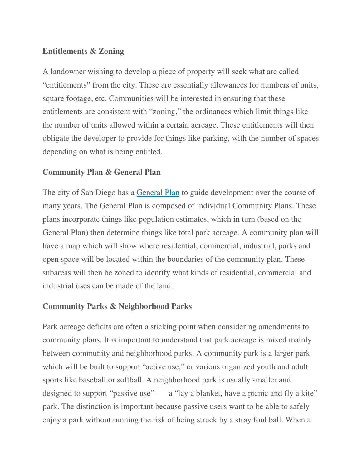#### **Entitlements & Zoning**

A landowner wishing to develop a piece of property will seek what are called "entitlements" from the city. These are essentially allowances for numbers of units, square footage, etc. Communities will be interested in ensuring that these entitlements are consistent with "zoning," the ordinances which limit things like the number of units allowed within a certain acreage. These entitlements will then obligate the developer to provide for things like parking, with the number of spaces depending on what is being entitled.

### **Community Plan & General Plan**

The city of San Diego has a General Plan to guide development over the course of many years. The General Plan is composed of individual Community Plans. These plans incorporate things like population estimates, which in turn (based on the General Plan) then determine things like total park acreage. A community plan will have a map which will show where residential, commercial, industrial, parks and open space will be located within the boundaries of the community plan. These subareas will then be zoned to identify what kinds of residential, commercial and industrial uses can be made of the land.

#### **Community Parks & Neighborhood Parks**

Park acreage deficits are often a sticking point when considering amendments to community plans. It is important to understand that park acreage is mixed mainly between community and neighborhood parks. A community park is a larger park which will be built to support "active use," or various organized youth and adult sports like baseball or softball. A neighborhood park is usually smaller and designed to support "passive use" — a "lay a blanket, have a picnic and fly a kite" park. The distinction is important because passive users want to be able to safely enjoy a park without running the risk of being struck by a stray foul ball. When a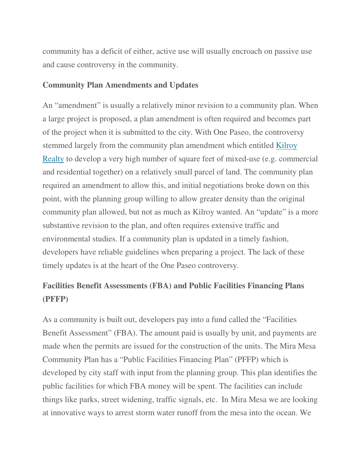community has a deficit of either, active use will usually encroach on passive use and cause controversy in the community.

#### **Community Plan Amendments and Updates**

An "amendment" is usually a relatively minor revision to a community plan. When a large project is proposed, a plan amendment is often required and becomes part of the project when it is submitted to the city. With One Paseo, the controversy stemmed largely from the community plan amendment which entitled Kilroy Realty to develop a very high number of square feet of mixed-use (e.g. commercial and residential together) on a relatively small parcel of land. The community plan required an amendment to allow this, and initial negotiations broke down on this point, with the planning group willing to allow greater density than the original community plan allowed, but not as much as Kilroy wanted. An "update" is a more substantive revision to the plan, and often requires extensive traffic and environmental studies. If a community plan is updated in a timely fashion, developers have reliable guidelines when preparing a project. The lack of these timely updates is at the heart of the One Paseo controversy.

# **Facilities Benefit Assessments (FBA) and Public Facilities Financing Plans (PFFP)**

As a community is built out, developers pay into a fund called the "Facilities Benefit Assessment" (FBA). The amount paid is usually by unit, and payments are made when the permits are issued for the construction of the units. The Mira Mesa Community Plan has a "Public Facilities Financing Plan" (PFFP) which is developed by city staff with input from the planning group. This plan identifies the public facilities for which FBA money will be spent. The facilities can include things like parks, street widening, traffic signals, etc. In Mira Mesa we are looking at innovative ways to arrest storm water runoff from the mesa into the ocean. We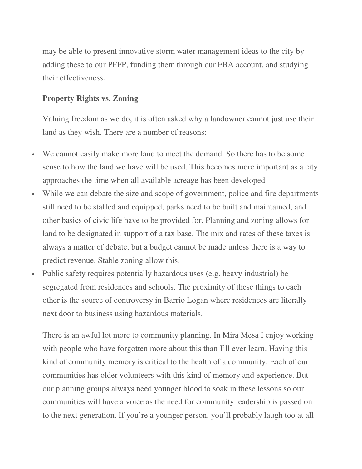may be able to present innovative storm water management ideas to the city by adding these to our PFFP, funding them through our FBA account, and studying their effectiveness.

#### **Property Rights vs. Zoning**

Valuing freedom as we do, it is often asked why a landowner cannot just use their land as they wish. There are a number of reasons:

- We cannot easily make more land to meet the demand. So there has to be some sense to how the land we have will be used. This becomes more important as a city approaches the time when all available acreage has been developed
- While we can debate the size and scope of government, police and fire departments still need to be staffed and equipped, parks need to be built and maintained, and other basics of civic life have to be provided for. Planning and zoning allows for land to be designated in support of a tax base. The mix and rates of these taxes is always a matter of debate, but a budget cannot be made unless there is a way to predict revenue. Stable zoning allow this.
- Public safety requires potentially hazardous uses (e.g. heavy industrial) be segregated from residences and schools. The proximity of these things to each other is the source of controversy in Barrio Logan where residences are literally next door to business using hazardous materials.

There is an awful lot more to community planning. In Mira Mesa I enjoy working with people who have forgotten more about this than I'll ever learn. Having this kind of community memory is critical to the health of a community. Each of our communities has older volunteers with this kind of memory and experience. But our planning groups always need younger blood to soak in these lessons so our communities will have a voice as the need for community leadership is passed on to the next generation. If you're a younger person, you'll probably laugh too at all